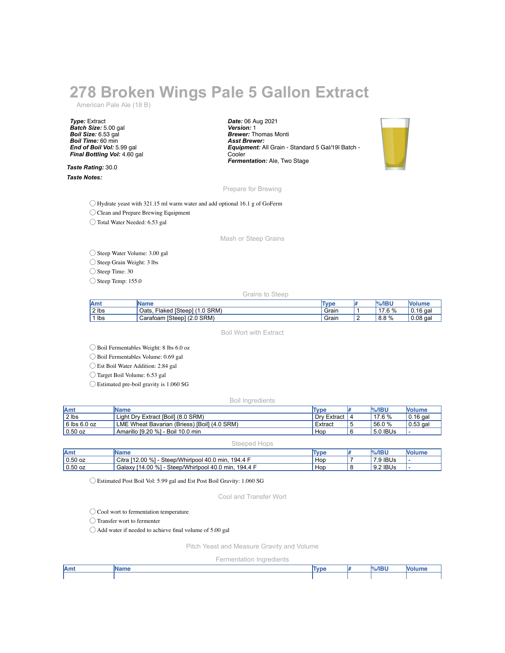# **278 Broken Wings Pale 5 Gallon Extract**

American Pale Ale (18 B)

*Type:* Extract *Batch Size:* 5.00 gal *Boil Size:* 6.53 gal *Boil Time:* 60 min *End of Boil Vol:* 5.99 gal *Final Bottling Vol:* 4.60 gal

*Taste Rating:* 30.0 *Taste Notes:*

*Date:* 06 Aug 2021 *Version:* 1 *Brewer:* Thomas Monti *Asst Brewer: Equipment:* All Grain - Standard 5 Gal/19l Batch - Cooler *Fermentation:* Ale, Two Stage



#### Prepare for Brewing

◯ Hydrate yeast with 321.15 ml warm water and add optional 16.1 g of GoFerm

◯ Clean and Prepare Brewing Equipment

◯ Total Water Needed: 6.53 gal

Mash or Steep Grains

### ◯ Steep Water Volume: 3.00 gal

◯ Steep Grain Weight: 3 lbs

◯ Steep Time: 30

 $\bigcirc$  Steep Temp: 155.0

Grains to Steep

| lAm   | Name                                  | Type  | $%$ /IBU            | <b>Nolume</b> |
|-------|---------------------------------------|-------|---------------------|---------------|
| 2 lbs | 1.0 SRM)<br>Flaked [Steep] (<br>Oats. | Grain | 60/2<br>47<br>17. U | 16 gal<br>١Ο. |
| lbs   | $[Steep]$ $(2.0$ SRM $)$<br>Carafoam  | Grain | $8.8\%$             | $0.08$ gal    |

Boil Wort with Extract

◯ Boil Fermentables Weight: 8 lbs 6.0 oz

◯ Boil Fermentables Volume: 0.69 gal

◯ Est Boil Water Addition: 2.84 gal

◯ Target Boil Volume: 6.53 gal

◯ Estimated pre-boil gravity is 1.060 SG

#### Boil Ingredients

| <b>IAmt</b>  | <b>IName</b>                                 | <b>Type</b> | <b>%/IBU</b> | <b>Nolume</b>    |
|--------------|----------------------------------------------|-------------|--------------|------------------|
| 2 lbs        | Light Dry Extract [Boil] (8.0 SRM)           | Drv Extract | 17.6%        | 10.16 gal        |
| 6 lbs 6.0 oz | LME Wheat Bavarian (Briess) [Boil] (4.0 SRM) | Extract     | 156.0%       | $\vert 0.53$ gal |
| $0.50$ oz    | ' Amarillo [9.20 %] - Boil 10.0 min          | Hop         | 5.0 IBUs     |                  |

Steeped Hops

| Amt       | <b>IName</b>                                                 | Type | $%$ /IBU | <b>Nolume</b> |
|-----------|--------------------------------------------------------------|------|----------|---------------|
| $0.50$ oz | Citra [12.00 %] -<br>Steep/Whirlpool 40.0 min,<br>. 194.4 F  | Hop  | '.9 IBUs | . .           |
| $0.50$ oz | Galaxy [14.00 %] -<br>- Steep/Whirlpool 40.0 min,<br>194.4 F | Hop  | 9.2 IBUs | . .           |

◯ Estimated Post Boil Vol: 5.99 gal and Est Post Boil Gravity: 1.060 SG

Cool and Transfer Wort

◯ Cool wort to fermentation temperature

◯ Transfer wort to fermenter

 $\bigcirc$  Add water if needed to achieve final volume of 5.00 gal

Pitch Yeast and Measure Gravity and Volume

Fermentation Ingredients

| Amt | me | Tvpe | $\sim$<br>--- |  |
|-----|----|------|---------------|--|
|     |    |      |               |  |